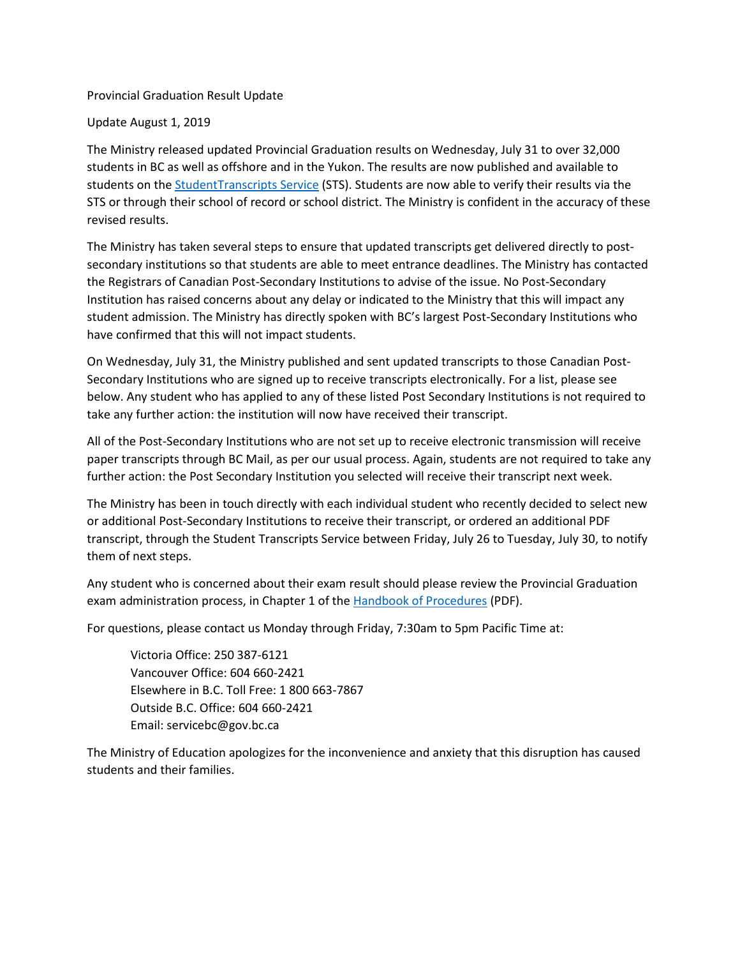## Provincial Graduation Result Update

## Update August 1, 2019

The Ministry released updated Provincial Graduation results on Wednesday, July 31 to over 32,000 students in BC as well as offshore and in the Yukon. The results are now published and available to students on the **StudentTranscripts Service** (STS). Students are now able to verify their results via the STS or through their school of record or school district. The Ministry is confident in the accuracy of these revised results.

The Ministry has taken several steps to ensure that updated transcripts get delivered directly to postsecondary institutions so that students are able to meet entrance deadlines. The Ministry has contacted the Registrars of Canadian Post-Secondary Institutions to advise of the issue. No Post-Secondary Institution has raised concerns about any delay or indicated to the Ministry that this will impact any student admission. The Ministry has directly spoken with BC's largest Post-Secondary Institutions who have confirmed that this will not impact students.

On Wednesday, July 31, the Ministry published and sent updated transcripts to those Canadian Post-Secondary Institutions who are signed up to receive transcripts electronically. For a list, please see below. Any student who has applied to any of these listed Post Secondary Institutions is not required to take any further action: the institution will now have received their transcript.

All of the Post-Secondary Institutions who are not set up to receive electronic transmission will receive paper transcripts through BC Mail, as per our usual process. Again, students are not required to take any further action: the Post Secondary Institution you selected will receive their transcript next week.

The Ministry has been in touch directly with each individual student who recently decided to select new or additional Post-Secondary Institutions to receive their transcript, or ordered an additional PDF transcript, through the Student Transcripts Service between Friday, July 26 to Tuesday, July 30, to notify them of next steps.

Any student who is concerned about their exam result should please review the Provincial Graduation exam administration process, in Chapter 1 of the [Handbook of Procedures](https://www2.gov.bc.ca/assets/gov/education/administration/kindergarten-to-grade-12/graduation/handbook_of_procedures.pdf#page=32) (PDF).

For questions, please contact us Monday through Friday, 7:30am to 5pm Pacific Time at:

Victoria Office: 250 387-6121 Vancouver Office: 604 660-2421 Elsewhere in B.C. Toll Free: 1 800 663-7867 Outside B.C. Office: 604 660-2421 Email: servicebc@gov.bc.ca

The Ministry of Education apologizes for the inconvenience and anxiety that this disruption has caused students and their families.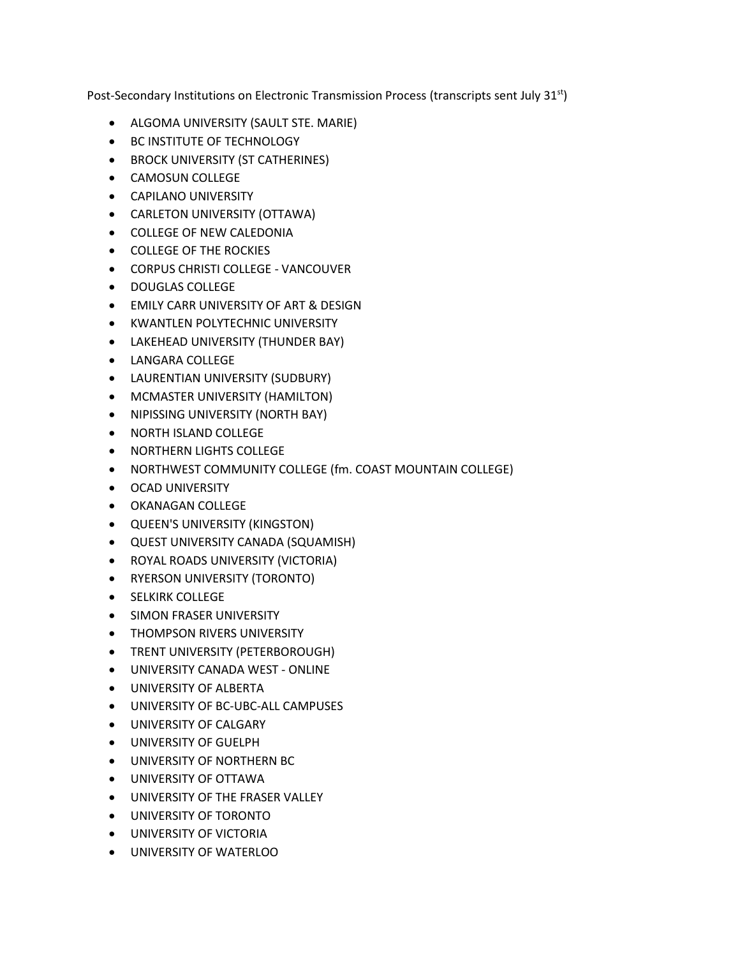Post-Secondary Institutions on Electronic Transmission Process (transcripts sent July 31<sup>st</sup>)

- ALGOMA UNIVERSITY (SAULT STE. MARIE)
- BC INSTITUTE OF TECHNOLOGY
- BROCK UNIVERSITY (ST CATHERINES)
- CAMOSUN COLLEGE
- CAPILANO UNIVERSITY
- CARLETON UNIVERSITY (OTTAWA)
- COLLEGE OF NEW CALEDONIA
- COLLEGE OF THE ROCKIES
- CORPUS CHRISTI COLLEGE VANCOUVER
- DOUGLAS COLLEGE
- EMILY CARR UNIVERSITY OF ART & DESIGN
- KWANTLEN POLYTECHNIC UNIVERSITY
- LAKEHEAD UNIVERSITY (THUNDER BAY)
- LANGARA COLLEGE
- LAURENTIAN UNIVERSITY (SUDBURY)
- MCMASTER UNIVERSITY (HAMILTON)
- NIPISSING UNIVERSITY (NORTH BAY)
- NORTH ISLAND COLLEGE
- NORTHERN LIGHTS COLLEGE
- NORTHWEST COMMUNITY COLLEGE (fm. COAST MOUNTAIN COLLEGE)
- OCAD UNIVERSITY
- OKANAGAN COLLEGE
- QUEEN'S UNIVERSITY (KINGSTON)
- QUEST UNIVERSITY CANADA (SQUAMISH)
- ROYAL ROADS UNIVERSITY (VICTORIA)
- RYERSON UNIVERSITY (TORONTO)
- SELKIRK COLLEGE
- SIMON FRASER UNIVERSITY
- THOMPSON RIVERS UNIVERSITY
- TRENT UNIVERSITY (PETERBOROUGH)
- UNIVERSITY CANADA WEST ONLINE
- UNIVERSITY OF ALBERTA
- UNIVERSITY OF BC-UBC-ALL CAMPUSES
- UNIVERSITY OF CALGARY
- UNIVERSITY OF GUELPH
- UNIVERSITY OF NORTHERN BC
- UNIVERSITY OF OTTAWA
- UNIVERSITY OF THE FRASER VALLEY
- UNIVERSITY OF TORONTO
- UNIVERSITY OF VICTORIA
- UNIVERSITY OF WATERLOO